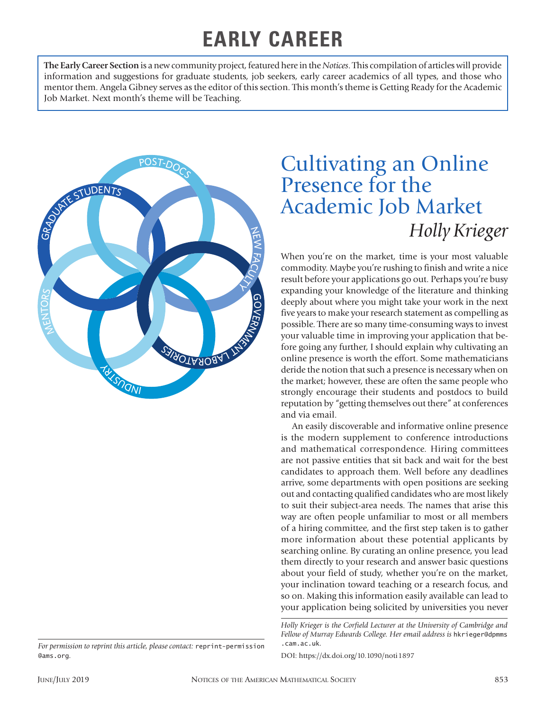## **EARLY CAREER**

**The Early Career Section** is a new community project, featured here in the *Notices*. This compilation of articles will provide information and suggestions for graduate students, job seekers, early career academics of all types, and those who mentor them. Angela Gibney serves as the editor of this section. This month's theme is Getting Ready for the Academic Job Market. Next month's theme will be Teaching.



## *For permission to reprint this article, please contact:* reprint-permission @ams.org.

## Cultivating an Online Presence for the Academic Job Market *Holly Krieger*

When you're on the market, time is your most valuable commodity. Maybe you're rushing to finish and write a nice result before your applications go out. Perhaps you're busy expanding your knowledge of the literature and thinking deeply about where you might take your work in the next five years to make your research statement as compelling as possible. There are so many time-consuming ways to invest your valuable time in improving your application that before going any further, I should explain why cultivating an online presence is worth the effort. Some mathematicians deride the notion that such a presence is necessary when on the market; however, these are often the same people who strongly encourage their students and postdocs to build reputation by "getting themselves out there" at conferences and via email.

An easily discoverable and informative online presence is the modern supplement to conference introductions and mathematical correspondence. Hiring committees are not passive entities that sit back and wait for the best candidates to approach them. Well before any deadlines arrive, some departments with open positions are seeking out and contacting qualified candidates who are most likely to suit their subject-area needs. The names that arise this way are often people unfamiliar to most or all members of a hiring committee, and the first step taken is to gather more information about these potential applicants by searching online. By curating an online presence, you lead them directly to your research and answer basic questions about your field of study, whether you're on the market, your inclination toward teaching or a research focus, and so on. Making this information easily available can lead to your application being solicited by universities you never

*Holly Krieger is the Corfield Lecturer at the University of Cambridge and Fellow of Murray Edwards College. Her email address is* hkrieger@dpmms .cam.ac.uk*.*

DOI: https://dx.doi.org/10.1090/noti1897